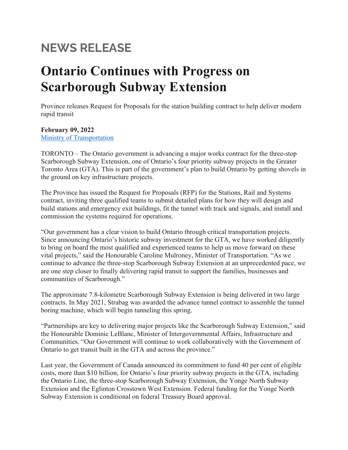# **NEWS RELEASE**

# **Ontario Continues with Progress on Scarborough Subway Extension**

Province releases Request for Proposals for the station building contract to help deliver modern rapid transit

**February 09, 2022** [Ministry of Transportation](https://u22040672.ct.sendgrid.net/ls/click?upn=nW6WfPO4Bjg1VsnalDVryeDJe5ixZPtjiuF6ez553Y6q4-2B8qUMM7ASz7ZTQTOfy60RrruPLXfp2wnipr8HwaPjnn6UyeQyd2GBIZ6ZW-2BCaUAZEjdNJlbFohEbSiuvVIsgVpJi1dQjjcbNBXmsAg73mnncmBkQollpyE2ikc7kHDzRGsAIBrFcyIJWif6sgvKhiFMRq7hXuNFri0X7CpSWSOX4gHNVXplyO7txH-2BZfGRQSr3GQ2ryVXEB-2BoLs4JsXMWFFHpIXjQkkSB9Is6YmXw-3D-3DxLgG_YH5Itus8WvtzZ7Y81RU7tM23xBgZmnpIPJ1y-2FsgxEFSIQkJt3DpFiOWsfp9KHqV7BEuQTsnANb90dummNxK7R9a-2BekCjYIOu0KH7XydaFqhawBXrjYYK09aJDJowRDyf3F1D42Mw6-2FcFGL98fHqtBFgHXOsqzenFQObS9v-2BLzl7I9yR8amTAGgj9yhe3sWhTjS0CEHs1IYYJpcUNuDVY3w-3D-3D)

TORONTO – The Ontario government is advancing a major works contract for the three-stop Scarborough Subway Extension, one of Ontario's four priority subway projects in the Greater Toronto Area (GTA). This is part of the government's plan to build Ontario by getting shovels in the ground on key infrastructure projects.

The Province has issued the Request for Proposals (RFP) for the Stations, Rail and Systems contract, inviting three qualified teams to submit detailed plans for how they will design and build stations and emergency exit buildings, fit the tunnel with track and signals, and install and commission the systems required for operations.

"Our government has a clear vision to build Ontario through critical transportation projects. Since announcing Ontario's historic subway investment for the GTA, we have worked diligently to bring on board the most qualified and experienced teams to help us move forward on these vital projects," said the Honourable Caroline Mulroney, Minister of Transportation. "As we continue to advance the three-stop Scarborough Subway Extension at an unprecedented pace, we are one step closer to finally delivering rapid transit to support the families, businesses and communities of Scarborough."

The approximate 7.8-kilometre Scarborough Subway Extension is being delivered in two large contracts. In May 2021, Strabag was awarded the advance tunnel contract to assemble the tunnel boring machine, which will begin tunneling this spring.

"Partnerships are key to delivering major projects like the Scarborough Subway Extension," said the Honourable Dominic LeBlanc, Minister of Intergovernmental Affairs, Infrastructure and Communities. "Our Government will continue to work collaboratively with the Government of Ontario to get transit built in the GTA and across the province."

Last year, the Government of Canada announced its commitment to fund 40 per cent of eligible costs, more than \$10 billion, for Ontario's four priority subway projects in the GTA, including the Ontario Line, the three-stop Scarborough Subway Extension, the Yonge North Subway Extension and the Eglinton Crosstown West Extension. Federal funding for the Yonge North Subway Extension is conditional on federal Treasury Board approval.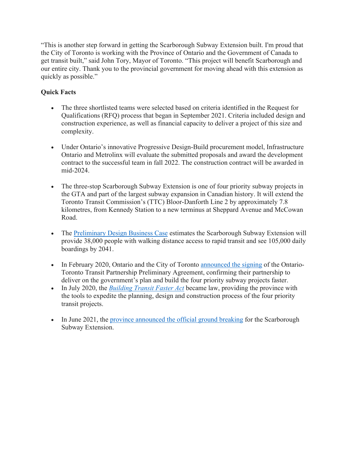"This is another step forward in getting the Scarborough Subway Extension built. I'm proud that the City of Toronto is working with the Province of Ontario and the Government of Canada to get transit built," said John Tory, Mayor of Toronto. "This project will benefit Scarborough and our entire city. Thank you to the provincial government for moving ahead with this extension as quickly as possible."

# **Quick Facts**

- The three shortlisted teams were selected based on criteria identified in the Request for Qualifications (RFQ) process that began in September 2021. Criteria included design and construction experience, as well as financial capacity to deliver a project of this size and complexity.
- Under Ontario's innovative Progressive Design-Build procurement model, Infrastructure Ontario and Metrolinx will evaluate the submitted proposals and award the development contract to the successful team in fall 2022. The construction contract will be awarded in mid-2024.
- The three-stop Scarborough Subway Extension is one of four priority subway projects in the GTA and part of the largest subway expansion in Canadian history. It will extend the Toronto Transit Commission's (TTC) Bloor-Danforth Line 2 by approximately 7.8 kilometres, from Kennedy Station to a new terminus at Sheppard Avenue and McCowan Road.
- The [Preliminary Design Business Case](http://www.metrolinx.com/en/regionalplanning/projectevaluation/benefitscases/2019-02-28_SSE_Preliminary_Design_Business_Case.pdf) estimates the Scarborough Subway Extension will provide 38,000 people with walking distance access to rapid transit and see 105,000 daily boardings by 2041.
- In February 2020, Ontario and the City of Toronto **announced** the signing of the Ontario-Toronto Transit Partnership Preliminary Agreement, confirming their partnership to deliver on the government's plan and build the four priority subway projects faster.
- In July 2020, the *[Building Transit Faster Act](https://news.ontario.ca/opo/en/2020/07/ontario-passes-legislation-to-deliver-subways-faster.html)* became law, providing the province with the tools to expedite the planning, design and construction process of the four priority transit projects.
- In June 2021, the [province announced the official ground breaking](https://news.ontario.ca/en/release/1000396/ontario-breaks-ground-on-first-of-four-priority-subway-projects) for the Scarborough Subway Extension.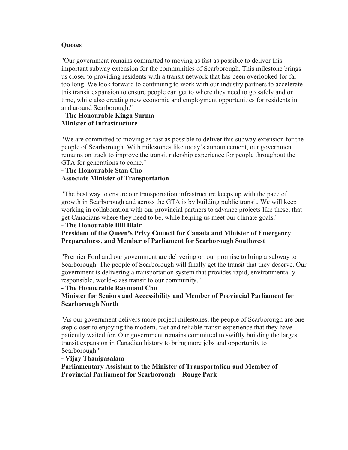# **Quotes**

"Our government remains committed to moving as fast as possible to deliver this important subway extension for the communities of Scarborough. This milestone brings us closer to providing residents with a transit network that has been overlooked for far too long. We look forward to continuing to work with our industry partners to accelerate this transit expansion to ensure people can get to where they need to go safely and on time, while also creating new economic and employment opportunities for residents in and around Scarborough."

## **- The Honourable Kinga Surma Minister of Infrastructure**

"We are committed to moving as fast as possible to deliver this subway extension for the people of Scarborough. With milestones like today's announcement, our government remains on track to improve the transit ridership experience for people throughout the GTA for generations to come."

# **- The Honourable Stan Cho Associate Minister of Transportation**

"The best way to ensure our transportation infrastructure keeps up with the pace of growth in Scarborough and across the GTA is by building public transit. We will keep working in collaboration with our provincial partners to advance projects like these, that get Canadians where they need to be, while helping us meet our climate goals."

# **- The Honourable Bill Blair**

### **President of the Queen's Privy Council for Canada and Minister of Emergency Preparedness, and Member of Parliament for Scarborough Southwest**

"Premier Ford and our government are delivering on our promise to bring a subway to Scarborough. The people of Scarborough will finally get the transit that they deserve. Our government is delivering a transportation system that provides rapid, environmentally responsible, world-class transit to our community."

### **- The Honourable Raymond Cho**

# **Minister for Seniors and Accessibility and Member of Provincial Parliament for Scarborough North**

"As our government delivers more project milestones, the people of Scarborough are one step closer to enjoying the modern, fast and reliable transit experience that they have patiently waited for. Our government remains committed to swiftly building the largest transit expansion in Canadian history to bring more jobs and opportunity to Scarborough."

### **- Vijay Thanigasalam**

**Parliamentary Assistant to the Minister of Transportation and Member of Provincial Parliament for Scarborough—Rouge Park**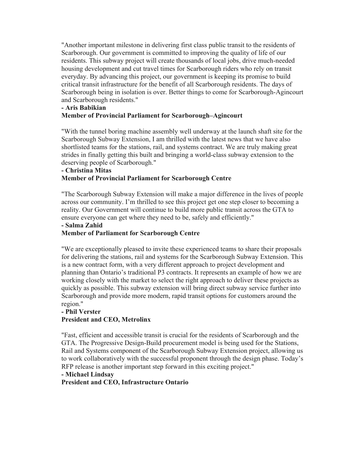"Another important milestone in delivering first class public transit to the residents of Scarborough. Our government is committed to improving the quality of life of our residents. This subway project will create thousands of local jobs, drive much-needed housing development and cut travel times for Scarborough riders who rely on transit everyday. By advancing this project, our government is keeping its promise to build critical transit infrastructure for the benefit of all Scarborough residents. The days of Scarborough being in isolation is over. Better things to come for Scarborough-Agincourt and Scarborough residents."

#### **- Aris Babikian**

# **Member of Provincial Parliament for Scarborough–Agincourt**

"With the tunnel boring machine assembly well underway at the launch shaft site for the Scarborough Subway Extension, I am thrilled with the latest news that we have also shortlisted teams for the stations, rail, and systems contract. We are truly making great strides in finally getting this built and bringing a world-class subway extension to the deserving people of Scarborough."

#### **- Christina Mitas**

# **Member of Provincial Parliament for Scarborough Centre**

"The Scarborough Subway Extension will make a major difference in the lives of people across our community. I'm thrilled to see this project get one step closer to becoming a reality. Our Government will continue to build more public transit across the GTA to ensure everyone can get where they need to be, safely and efficiently."

#### **- Salma Zahid**

### **Member of Parliament for Scarborough Centre**

"We are exceptionally pleased to invite these experienced teams to share their proposals for delivering the stations, rail and systems for the Scarborough Subway Extension. This is a new contract form, with a very different approach to project development and planning than Ontario's traditional P3 contracts. It represents an example of how we are working closely with the market to select the right approach to deliver these projects as quickly as possible. This subway extension will bring direct subway service further into Scarborough and provide more modern, rapid transit options for customers around the region."

# **- Phil Verster**

### **President and CEO, Metrolinx**

"Fast, efficient and accessible transit is crucial for the residents of Scarborough and the GTA. The Progressive Design-Build procurement model is being used for the Stations, Rail and Systems component of the Scarborough Subway Extension project, allowing us to work collaboratively with the successful proponent through the design phase. Today's RFP release is another important step forward in this exciting project."

### **- Michael Lindsay**

### **President and CEO, Infrastructure Ontario**